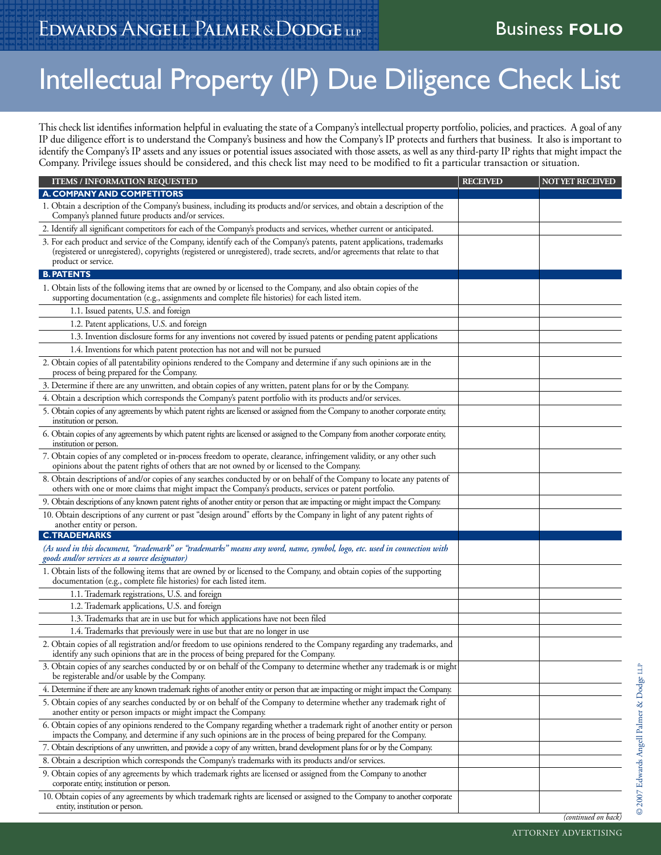## Intellectual Property (IP) Due Diligence Check List

This check list identifies information helpful in evaluating the state of a Company's intellectual property portfolio, policies, and practices. A goal of any IP due diligence effort is to understand the Company's business and how the Company's IP protects and furthers that business. It also is important to identify the Company's IP assets and any issues or potential issues associated with those assets, as well as any third-party IP rights that might impact the Company. Privilege issues should be considered, and this check list may need to be modified to fit a particular transaction or situation.

| <b>ITEMS / INFORMATION REQUESTED</b>                                                                                                                                                                                                                                          | <b>RECEIVED</b> | <b>NOT YET RECEIVED</b> |
|-------------------------------------------------------------------------------------------------------------------------------------------------------------------------------------------------------------------------------------------------------------------------------|-----------------|-------------------------|
| A. COMPANY AND COMPETITORS                                                                                                                                                                                                                                                    |                 |                         |
| 1. Obtain a description of the Company's business, including its products and/or services, and obtain a description of the<br>Company's planned future products and/or services.                                                                                              |                 |                         |
| 2. Identify all significant competitors for each of the Company's products and services, whether current or anticipated.                                                                                                                                                      |                 |                         |
| 3. For each product and service of the Company, identify each of the Company's patents, patent applications, trademarks<br>(registered or unregistered), copyrights (registered or unregistered), trade secrets, and/or agreements that relate to that<br>product or service. |                 |                         |
| <b>B. PATENTS</b>                                                                                                                                                                                                                                                             |                 |                         |
| 1. Obtain lists of the following items that are owned by or licensed to the Company, and also obtain copies of the<br>supporting documentation (e.g., assignments and complete file histories) for each listed item.                                                          |                 |                         |
| 1.1. Issued patents, U.S. and foreign                                                                                                                                                                                                                                         |                 |                         |
| 1.2. Patent applications, U.S. and foreign                                                                                                                                                                                                                                    |                 |                         |
| 1.3. Invention disclosure forms for any inventions not covered by issued patents or pending patent applications                                                                                                                                                               |                 |                         |
| 1.4. Inventions for which patent protection has not and will not be pursued                                                                                                                                                                                                   |                 |                         |
| 2. Obtain copies of all patentability opinions rendered to the Company and determine if any such opinions are in the<br>process of being prepared for the Company.                                                                                                            |                 |                         |
| 3. Determine if there are any unwritten, and obtain copies of any written, patent plans for or by the Company.                                                                                                                                                                |                 |                         |
| 4. Obtain a description which corresponds the Company's patent portfolio with its products and/or services.                                                                                                                                                                   |                 |                         |
| 5. Obtain copies of any agreements by which patent rights are licensed or assigned from the Company to another corporate entity,<br>institution or person.                                                                                                                    |                 |                         |
| 6. Obtain copies of any agreements by which patent rights are licensed or assigned to the Company from another corporate entity,<br>institution or person.                                                                                                                    |                 |                         |
| 7. Obtain copies of any completed or in-process freedom to operate, clearance, infringement validity, or any other such<br>opinions about the patent rights of others that are not owned by or licensed to the Company.                                                       |                 |                         |
| 8. Obtain descriptions of and/or copies of any searches conducted by or on behalf of the Company to locate any patents of<br>others with one or more claims that might impact the Company's products, services or patent portfolio.                                           |                 |                         |
| 9. Obtain descriptions of any known patent rights of another entity or person that are impacting or might impact the Company.                                                                                                                                                 |                 |                         |
| 10. Obtain descriptions of any current or past "design around" efforts by the Company in light of any patent rights of<br>another entity or person.                                                                                                                           |                 |                         |
| <b>C.TRADEMARKS</b>                                                                                                                                                                                                                                                           |                 |                         |
| (As used in this document, "trademark" or "trademarks" means any word, name, symbol, logo, etc. used in connection with<br>goods and/or services as a source designator)                                                                                                      |                 |                         |
| 1. Obtain lists of the following items that are owned by or licensed to the Company, and obtain copies of the supporting<br>documentation (e.g., complete file histories) for each listed item.                                                                               |                 |                         |
| 1.1. Trademark registrations, U.S. and foreign                                                                                                                                                                                                                                |                 |                         |
| 1.2. Trademark applications, U.S. and foreign                                                                                                                                                                                                                                 |                 |                         |
| 1.3. Trademarks that are in use but for which applications have not been filed                                                                                                                                                                                                |                 |                         |
| 1.4. Trademarks that previously were in use but that are no longer in use                                                                                                                                                                                                     |                 |                         |
| 2. Obtain copies of all registration and/or freedom to use opinions rendered to the Company regarding any trademarks, and<br>identify any such opinions that are in the process of being prepared for the Company.                                                            |                 |                         |
| 3. Obtain copies of any searches conducted by or on behalf of the Company to determine whether any trademark is or might<br>be registerable and/or usable by the Company.                                                                                                     |                 |                         |
| 4. Determine if there are any known trademark rights of another entity or person that are impacting or might impact the Company.                                                                                                                                              |                 |                         |
| 5. Obtain copies of any searches conducted by or on behalf of the Company to determine whether any trademark right of<br>another entity or person impacts or might impact the Company.                                                                                        |                 |                         |
| 6. Obtain copies of any opinions rendered to the Company regarding whether a trademark right of another entity or person<br>impacts the Company, and determine if any such opinions are in the process of being prepared for the Company.                                     |                 |                         |
| 7. Obtain descriptions of any unwritten, and provide a copy of any written, brand development plans for or by the Company.                                                                                                                                                    |                 |                         |
| 8. Obtain a description which corresponds the Company's trademarks with its products and/or services.                                                                                                                                                                         |                 |                         |
| 9. Obtain copies of any agreements by which trademark rights are licensed or assigned from the Company to another<br>corporate entity, institution or person.                                                                                                                 |                 |                         |
| 10. Obtain copies of any agreements by which trademark rights are licensed or assigned to the Company to another corporate<br>entity, institution or person.                                                                                                                  |                 |                         |

*(continued on back)*